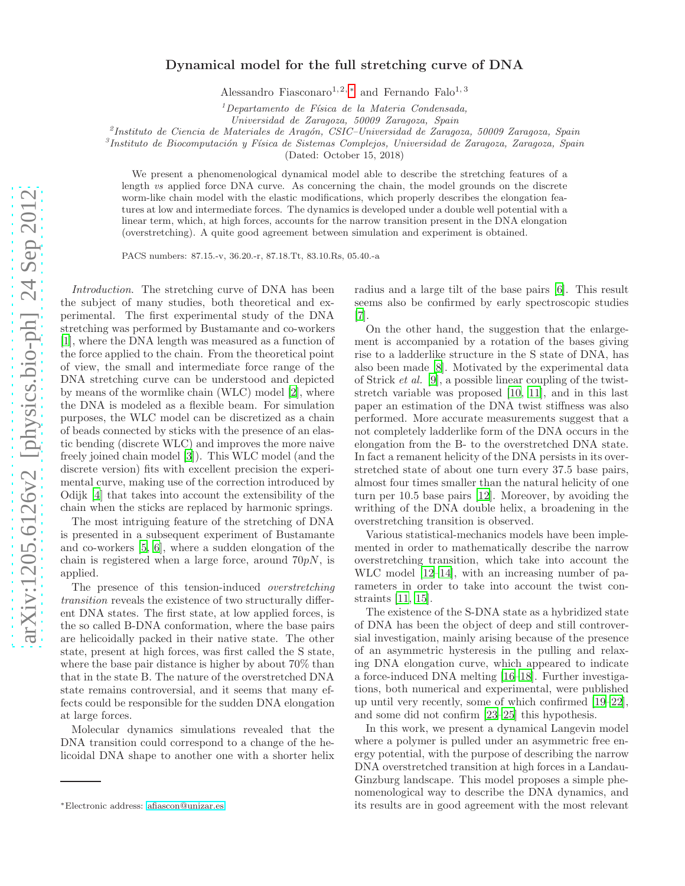## Dynamical model for the full stretching curve of DNA

Alessandro Fiasconaro<sup>1, 2, [∗](#page-0-0)</sup> and Fernando Falo<sup>1, 3</sup>

 $1$ Departamento de Física de la Materia Condensada,

Universidad de Zaragoza, 50009 Zaragoza, Spain

<sup>2</sup>Instituto de Ciencia de Materiales de Aragón, CSIC-Universidad de Zaragoza, 50009 Zaragoza, Spain

 ${}^{3}$ Instituto de Biocomputación y Física de Sistemas Complejos, Universidad de Zaragoza, Zaragoza, Spain

(Dated: October 15, 2018)

We present a phenomenological dynamical model able to describe the stretching features of a length vs applied force DNA curve. As concerning the chain, the model grounds on the discrete worm-like chain model with the elastic modifications, which properly describes the elongation features at low and intermediate forces. The dynamics is developed under a double well potential with a linear term, which, at high forces, accounts for the narrow transition present in the DNA elongation (overstretching). A quite good agreement between simulation and experiment is obtained.

PACS numbers: 87.15.-v, 36.20.-r, 87.18.Tt, 83.10.Rs, 05.40.-a

Introduction. The stretching curve of DNA has been the subject of many studies, both theoretical and experimental. The first experimental study of the DNA stretching was performed by Bustamante and co-workers [\[1\]](#page-3-0), where the DNA length was measured as a function of the force applied to the chain. From the theoretical point of view, the small and intermediate force range of the DNA stretching curve can be understood and depicted by means of the wormlike chain (WLC) model [\[2\]](#page-3-1), where the DNA is modeled as a flexible beam. For simulation purposes, the WLC model can be discretized as a chain of beads connected by sticks with the presence of an elastic bending (discrete WLC) and improves the more naive freely joined chain model [\[3\]](#page-3-2)). This WLC model (and the discrete version) fits with excellent precision the experimental curve, making use of the correction introduced by Odijk [\[4\]](#page-3-3) that takes into account the extensibility of the chain when the sticks are replaced by harmonic springs.

The most intriguing feature of the stretching of DNA is presented in a subsequent experiment of Bustamante and co-workers [\[5](#page-3-4), [6\]](#page-3-5), where a sudden elongation of the chain is registered when a large force, around  $70pN$ , is applied.

The presence of this tension-induced overstretching transition reveals the existence of two structurally different DNA states. The first state, at low applied forces, is the so called B-DNA conformation, where the base pairs are helicoidally packed in their native state. The other state, present at high forces, was first called the S state, where the base pair distance is higher by about 70% than that in the state B. The nature of the overstretched DNA state remains controversial, and it seems that many effects could be responsible for the sudden DNA elongation at large forces.

Molecular dynamics simulations revealed that the DNA transition could correspond to a change of the helicoidal DNA shape to another one with a shorter helix

radius and a large tilt of the base pairs [\[6\]](#page-3-5). This result seems also be confirmed by early spectroscopic studies [\[7\]](#page-3-6).

On the other hand, the suggestion that the enlargement is accompanied by a rotation of the bases giving rise to a ladderlike structure in the S state of DNA, has also been made [\[8\]](#page-3-7). Motivated by the experimental data of Strick et al. [\[9\]](#page-3-8), a possible linear coupling of the twiststretch variable was proposed [\[10,](#page-3-9) [11\]](#page-3-10), and in this last paper an estimation of the DNA twist stiffness was also performed. More accurate measurements suggest that a not completely ladderlike form of the DNA occurs in the elongation from the B- to the overstretched DNA state. In fact a remanent helicity of the DNA persists in its overstretched state of about one turn every 37.5 base pairs, almost four times smaller than the natural helicity of one turn per 10.5 base pairs [\[12\]](#page-3-11). Moreover, by avoiding the writhing of the DNA double helix, a broadening in the overstretching transition is observed.

Various statistical-mechanics models have been implemented in order to mathematically describe the narrow overstretching transition, which take into account the WLC model [\[12](#page-3-11)[–14](#page-3-12)], with an increasing number of parameters in order to take into account the twist constraints [\[11,](#page-3-10) [15\]](#page-3-13).

The existence of the S-DNA state as a hybridized state of DNA has been the object of deep and still controversial investigation, mainly arising because of the presence of an asymmetric hysteresis in the pulling and relaxing DNA elongation curve, which appeared to indicate a force-induced DNA melting [\[16](#page-3-14)[–18\]](#page-3-15). Further investigations, both numerical and experimental, were published up until very recently, some of which confirmed [\[19](#page-3-16)[–22\]](#page-3-17), and some did not confirm [\[23](#page-3-18)[–25\]](#page-3-19) this hypothesis.

In this work, we present a dynamical Langevin model where a polymer is pulled under an asymmetric free energy potential, with the purpose of describing the narrow DNA overstretched transition at high forces in a Landau-Ginzburg landscape. This model proposes a simple phenomenological way to describe the DNA dynamics, and its results are in good agreement with the most relevant

<span id="page-0-0"></span><sup>∗</sup>Electronic address: [afiascon@unizar.es](mailto:afiascon@unizar.es)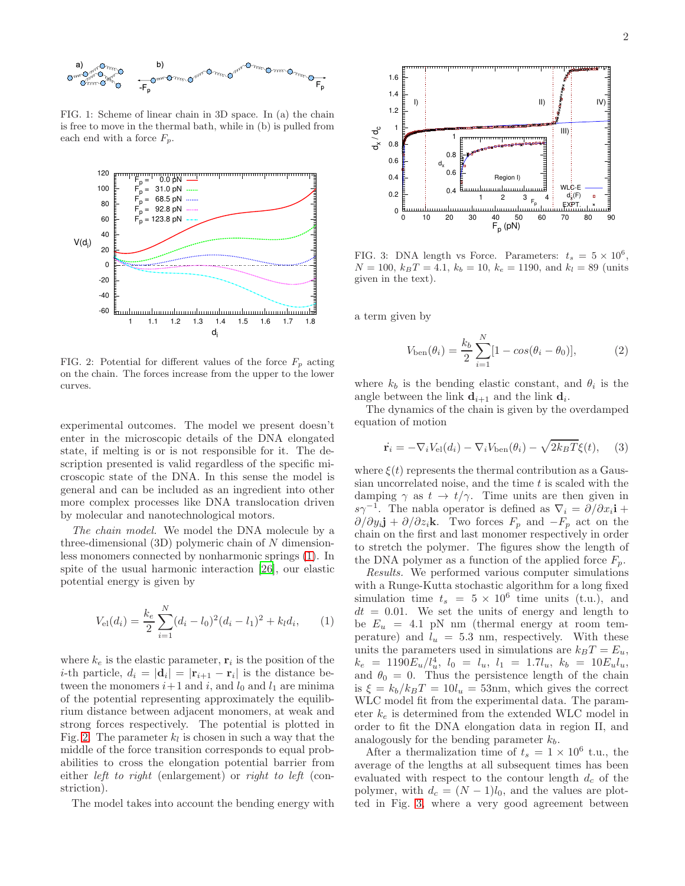

<span id="page-1-0"></span>FIG. 1: Scheme of linear chain in 3D space. In (a) the chain is free to move in the thermal bath, while in (b) is pulled from each end with a force  $F_p$ .



<span id="page-1-1"></span>FIG. 2: Potential for different values of the force  $F_p$  acting on the chain. The forces increase from the upper to the lower curves.

experimental outcomes. The model we present doesn't enter in the microscopic details of the DNA elongated state, if melting is or is not responsible for it. The description presented is valid regardless of the specific microscopic state of the DNA. In this sense the model is general and can be included as an ingredient into other more complex processes like DNA translocation driven by molecular and nanotechnological motors.

The chain model. We model the DNA molecule by a three-dimensional  $(3D)$  polymeric chain of N dimensionless monomers connected by nonharmonic springs [\(1\)](#page-1-0). In spite of the usual harmonic interaction [\[26\]](#page-3-20), our elastic potential energy is given by

<span id="page-1-3"></span>
$$
V_{\rm el}(d_i) = \frac{k_e}{2} \sum_{i=1}^{N} (d_i - l_0)^2 (d_i - l_1)^2 + k_l d_i, \qquad (1)
$$

where  $k_e$  is the elastic parameter,  $\mathbf{r}_i$  is the position of the *i*-th particle,  $d_i = |\mathbf{d}_i| = |\mathbf{r}_{i+1} - \mathbf{r}_i|$  is the distance between the monomers  $i+1$  and  $i$ , and  $l_0$  and  $l_1$  are minima of the potential representing approximately the equilibrium distance between adjacent monomers, at weak and strong forces respectively. The potential is plotted in Fig. [2.](#page-1-1) The parameter  $k_l$  is chosen in such a way that the middle of the force transition corresponds to equal probabilities to cross the elongation potential barrier from either *left to right* (enlargement) or *right to left* (constriction).

The model takes into account the bending energy with



<span id="page-1-2"></span>FIG. 3: DNA length vs Force. Parameters:  $t_s = 5 \times 10^6$ ,  $N = 100, k_BT = 4.1, k_b = 10, k_e = 1190, \text{ and } k_l = 89 \text{ (units)}$ given in the text).

a term given by

$$
V_{\text{ben}}(\theta_i) = \frac{k_b}{2} \sum_{i=1}^{N} [1 - \cos(\theta_i - \theta_0)],
$$
 (2)

where  $k_b$  is the bending elastic constant, and  $\theta_i$  is the angle between the link  $\mathbf{d}_{i+1}$  and the link  $\mathbf{d}_i$ .

The dynamics of the chain is given by the overdamped equation of motion

$$
\dot{\mathbf{r}}_i = -\nabla_i V_{\text{el}}(d_i) - \nabla_i V_{\text{ben}}(\theta_i) - \sqrt{2k_B T} \xi(t), \quad (3)
$$

where  $\xi(t)$  represents the thermal contribution as a Gaussian uncorrelated noise, and the time  $t$  is scaled with the damping  $\gamma$  as  $t \to t/\gamma$ . Time units are then given in  $s\gamma^{-1}$ . The nabla operator is defined as  $\nabla_i = \frac{\partial}{\partial x_i}$ **i** +  $\partial/\partial y_i$ **j** +  $\partial/\partial z_i$ **k**. Two forces  $F_p$  and  $-F_p$  act on the chain on the first and last monomer respectively in order to stretch the polymer. The figures show the length of the DNA polymer as a function of the applied force  $F_p$ .

Results. We performed various computer simulations with a Runge-Kutta stochastic algorithm for a long fixed simulation time  $t_s = 5 \times 10^6$  time units (t.u.), and  $dt = 0.01$ . We set the units of energy and length to be  $E_u = 4.1$  pN nm (thermal energy at room temperature) and  $l_u = 5.3$  nm, respectively. With these units the parameters used in simulations are  $k_BT = E_u$ ,  $k_e$  = 1190 $E_u/l_u^4$ ,  $l_0 = l_u$ ,  $l_1 = 1.7l_u$ ,  $k_b$  = 10 $E_u l_u$ , and  $\theta_0 = 0$ . Thus the persistence length of the chain is  $\xi = k_b/k_B T = 10l_u = 53$  nm, which gives the correct WLC model fit from the experimental data. The parameter  $k_e$  is determined from the extended WLC model in order to fit the DNA elongation data in region II, and analogously for the bending parameter  $k_b$ .

After a thermalization time of  $t_s = 1 \times 10^6$  t.u., the average of the lengths at all subsequent times has been evaluated with respect to the contour length  $d_c$  of the polymer, with  $d_c = (N-1)l_0$ , and the values are plotted in Fig. [3,](#page-1-2) where a very good agreement between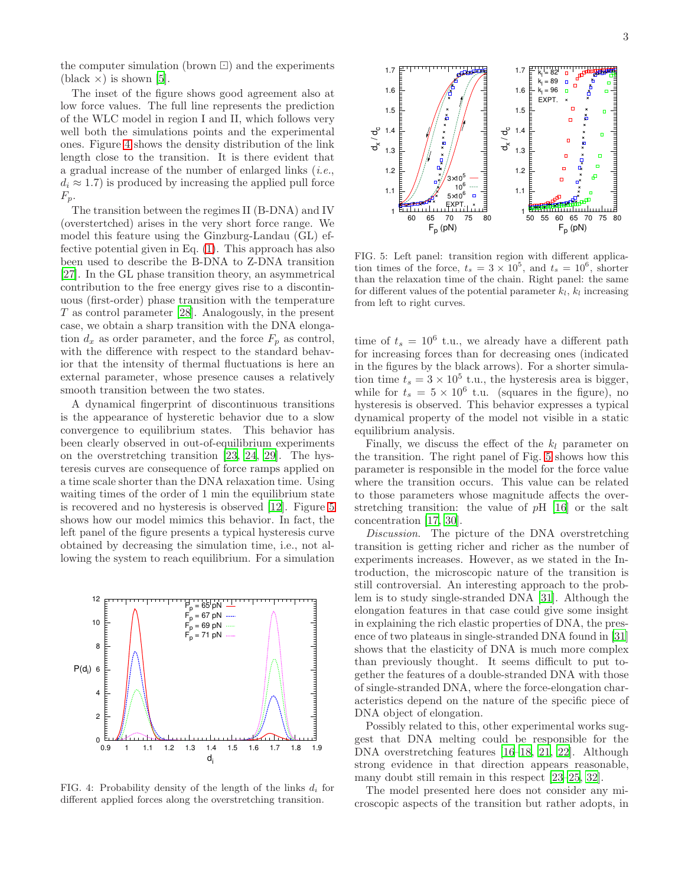the computer simulation (brown ⊡) and the experiments  $(black \times)$  is shown [\[5\]](#page-3-4).

The inset of the figure shows good agreement also at low force values. The full line represents the prediction of the WLC model in region I and II, which follows very well both the simulations points and the experimental ones. Figure [4](#page-2-0) shows the density distribution of the link length close to the transition. It is there evident that a gradual increase of the number of enlarged links (i.e.,  $d_i \approx 1.7$ ) is produced by increasing the applied pull force  $F_p$ .

The transition between the regimes II (B-DNA) and IV (overstertched) arises in the very short force range. We model this feature using the Ginzburg-Landau (GL) effective potential given in Eq. [\(1\)](#page-1-3). This approach has also been used to describe the B-DNA to Z-DNA transition [\[27\]](#page-3-21). In the GL phase transition theory, an asymmetrical contribution to the free energy gives rise to a discontinuous (first-order) phase transition with the temperature  $T$  as control parameter [\[28\]](#page-3-22). Analogously, in the present case, we obtain a sharp transition with the DNA elongation  $d_x$  as order parameter, and the force  $F_p$  as control, with the difference with respect to the standard behavior that the intensity of thermal fluctuations is here an external parameter, whose presence causes a relatively smooth transition between the two states.

A dynamical fingerprint of discontinuous transitions is the appearance of hysteretic behavior due to a slow convergence to equilibrium states. This behavior has been clearly observed in out-of-equilibrium experiments on the overstretching transition [\[23](#page-3-18), [24](#page-3-23), [29](#page-3-24)]. The hysteresis curves are consequence of force ramps applied on a time scale shorter than the DNA relaxation time. Using waiting times of the order of 1 min the equilibrium state is recovered and no hysteresis is observed [\[12\]](#page-3-11). Figure [5](#page-2-1) shows how our model mimics this behavior. In fact, the left panel of the figure presents a typical hysteresis curve obtained by decreasing the simulation time, i.e., not allowing the system to reach equilibrium. For a simulation



<span id="page-2-0"></span>FIG. 4: Probability density of the length of the links  $d_i$  for different applied forces along the overstretching transition.



<span id="page-2-1"></span>FIG. 5: Left panel: transition region with different application times of the force,  $t_s = 3 \times 10^5$ , and  $t_s = 10^6$ , shorter than the relaxation time of the chain. Right panel: the same for different values of the potential parameter  $k_l$ ,  $k_l$  increasing from left to right curves.

time of  $t_s = 10^6$  t.u., we already have a different path for increasing forces than for decreasing ones (indicated in the figures by the black arrows). For a shorter simulation time  $t_s = 3 \times 10^5$  t.u., the hysteresis area is bigger, while for  $t_s = 5 \times 10^6$  t.u. (squares in the figure), no hysteresis is observed. This behavior expresses a typical dynamical property of the model not visible in a static equilibrium analysis.

Finally, we discuss the effect of the  $k_l$  parameter on the transition. The right panel of Fig. [5](#page-2-1) shows how this parameter is responsible in the model for the force value where the transition occurs. This value can be related to those parameters whose magnitude affects the overstretching transition: the value of pH [\[16\]](#page-3-14) or the salt concentration [\[17](#page-3-25), [30](#page-3-26)].

Discussion. The picture of the DNA overstretching transition is getting richer and richer as the number of experiments increases. However, as we stated in the Introduction, the microscopic nature of the transition is still controversial. An interesting approach to the problem is to study single-stranded DNA [\[31\]](#page-3-27). Although the elongation features in that case could give some insight in explaining the rich elastic properties of DNA, the presence of two plateaus in single-stranded DNA found in [\[31](#page-3-27)] shows that the elasticity of DNA is much more complex than previously thought. It seems difficult to put together the features of a double-stranded DNA with those of single-stranded DNA, where the force-elongation characteristics depend on the nature of the specific piece of DNA object of elongation.

Possibly related to this, other experimental works suggest that DNA melting could be responsible for the DNA overstretching features [\[16](#page-3-14)[–18,](#page-3-15) [21,](#page-3-28) [22\]](#page-3-17). Although strong evidence in that direction appears reasonable, many doubt still remain in this respect [\[23](#page-3-18)[–25,](#page-3-19) [32\]](#page-3-29).

The model presented here does not consider any microscopic aspects of the transition but rather adopts, in